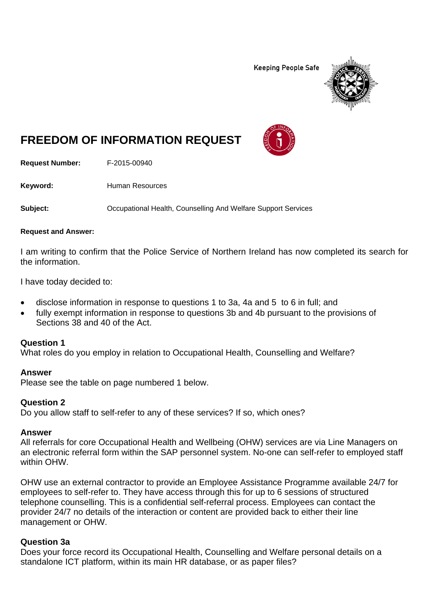**Keeping People Safe** 



# **FREEDOM OF INFORMATION REQUEST**

**Request Number:** F-2015-00940

Keyword: **Human Resources** 

**Subject: Compational Health, Counselling And Welfare Support Services** 

#### **Request and Answer:**

I am writing to confirm that the Police Service of Northern Ireland has now completed its search for the information.

I have today decided to:

- disclose information in response to questions 1 to 3a, 4a and 5 to 6 in full; and
- fully exempt information in response to questions 3b and 4b pursuant to the provisions of Sections 38 and 40 of the Act.

## **Question 1**

What roles do you employ in relation to Occupational Health, Counselling and Welfare?

## **Answer**

Please see the table on page numbered 1 below.

## **Question 2**

Do you allow staff to self-refer to any of these services? If so, which ones?

## **Answer**

All referrals for core Occupational Health and Wellbeing (OHW) services are via Line Managers on an electronic referral form within the SAP personnel system. No-one can self-refer to employed staff within OHW.

OHW use an external contractor to provide an Employee Assistance Programme available 24/7 for employees to self-refer to. They have access through this for up to 6 sessions of structured telephone counselling. This is a confidential self-referral process. Employees can contact the provider 24/7 no details of the interaction or content are provided back to either their line management or OHW.

## **Question 3a**

Does your force record its Occupational Health, Counselling and Welfare personal details on a standalone ICT platform, within its main HR database, or as paper files?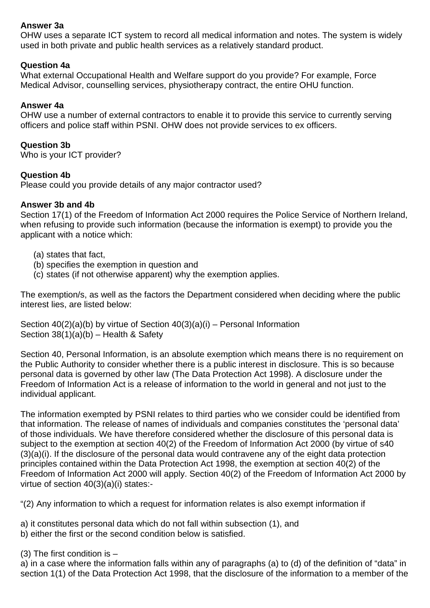## **Answer 3a**

OHW uses a separate ICT system to record all medical information and notes. The system is widely used in both private and public health services as a relatively standard product.

## **Question 4a**

What external Occupational Health and Welfare support do you provide? For example, Force Medical Advisor, counselling services, physiotherapy contract, the entire OHU function.

## **Answer 4a**

OHW use a number of external contractors to enable it to provide this service to currently serving officers and police staff within PSNI. OHW does not provide services to ex officers.

## **Question 3b**

Who is your ICT provider?

## **Question 4b**

Please could you provide details of any major contractor used?

## **Answer 3b and 4b**

Section 17(1) of the Freedom of Information Act 2000 requires the Police Service of Northern Ireland, when refusing to provide such information (because the information is exempt) to provide you the applicant with a notice which:

- (a) states that fact,
- (b) specifies the exemption in question and
- (c) states (if not otherwise apparent) why the exemption applies.

The exemption/s, as well as the factors the Department considered when deciding where the public interest lies, are listed below:

Section  $40(2)(a)(b)$  by virtue of Section  $40(3)(a)(i)$  – Personal Information Section  $38(1)(a)(b)$  – Health & Safety

Section 40, Personal Information, is an absolute exemption which means there is no requirement on the Public Authority to consider whether there is a public interest in disclosure. This is so because personal data is governed by other law (The Data Protection Act 1998). A disclosure under the Freedom of Information Act is a release of information to the world in general and not just to the individual applicant.

The information exempted by PSNI relates to third parties who we consider could be identified from that information. The release of names of individuals and companies constitutes the 'personal data' of those individuals. We have therefore considered whether the disclosure of this personal data is subject to the exemption at section 40(2) of the Freedom of Information Act 2000 (by virtue of s40 (3)(a)(i). If the disclosure of the personal data would contravene any of the eight data protection principles contained within the Data Protection Act 1998, the exemption at section 40(2) of the Freedom of Information Act 2000 will apply. Section 40(2) of the Freedom of Information Act 2000 by virtue of section 40(3)(a)(i) states:-

"(2) Any information to which a request for information relates is also exempt information if

a) it constitutes personal data which do not fall within subsection (1), and

b) either the first or the second condition below is satisfied.

(3) The first condition is –

a) in a case where the information falls within any of paragraphs (a) to (d) of the definition of "data" in section 1(1) of the Data Protection Act 1998, that the disclosure of the information to a member of the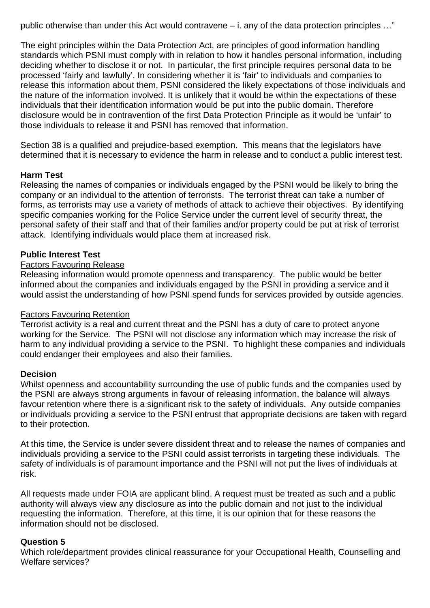public otherwise than under this Act would contravene – i. any of the data protection principles …"

The eight principles within the Data Protection Act, are principles of good information handling standards which PSNI must comply with in relation to how it handles personal information, including deciding whether to disclose it or not. In particular, the first principle requires personal data to be processed 'fairly and lawfully'. In considering whether it is 'fair' to individuals and companies to release this information about them, PSNI considered the likely expectations of those individuals and the nature of the information involved. It is unlikely that it would be within the expectations of these individuals that their identification information would be put into the public domain. Therefore disclosure would be in contravention of the first Data Protection Principle as it would be 'unfair' to those individuals to release it and PSNI has removed that information.

Section 38 is a qualified and prejudice-based exemption. This means that the legislators have determined that it is necessary to evidence the harm in release and to conduct a public interest test.

## **Harm Test**

Releasing the names of companies or individuals engaged by the PSNI would be likely to bring the company or an individual to the attention of terrorists. The terrorist threat can take a number of forms, as terrorists may use a variety of methods of attack to achieve their objectives. By identifying specific companies working for the Police Service under the current level of security threat, the personal safety of their staff and that of their families and/or property could be put at risk of terrorist attack. Identifying individuals would place them at increased risk.

## **Public Interest Test**

## Factors Favouring Release

Releasing information would promote openness and transparency. The public would be better informed about the companies and individuals engaged by the PSNI in providing a service and it would assist the understanding of how PSNI spend funds for services provided by outside agencies.

## Factors Favouring Retention

Terrorist activity is a real and current threat and the PSNI has a duty of care to protect anyone working for the Service. The PSNI will not disclose any information which may increase the risk of harm to any individual providing a service to the PSNI. To highlight these companies and individuals could endanger their employees and also their families.

## **Decision**

Whilst openness and accountability surrounding the use of public funds and the companies used by the PSNI are always strong arguments in favour of releasing information, the balance will always favour retention where there is a significant risk to the safety of individuals. Any outside companies or individuals providing a service to the PSNI entrust that appropriate decisions are taken with regard to their protection.

At this time, the Service is under severe dissident threat and to release the names of companies and individuals providing a service to the PSNI could assist terrorists in targeting these individuals. The safety of individuals is of paramount importance and the PSNI will not put the lives of individuals at risk.

All requests made under FOIA are applicant blind. A request must be treated as such and a public authority will always view any disclosure as into the public domain and not just to the individual requesting the information. Therefore, at this time, it is our opinion that for these reasons the information should not be disclosed.

## **Question 5**

Which role/department provides clinical reassurance for your Occupational Health, Counselling and Welfare services?